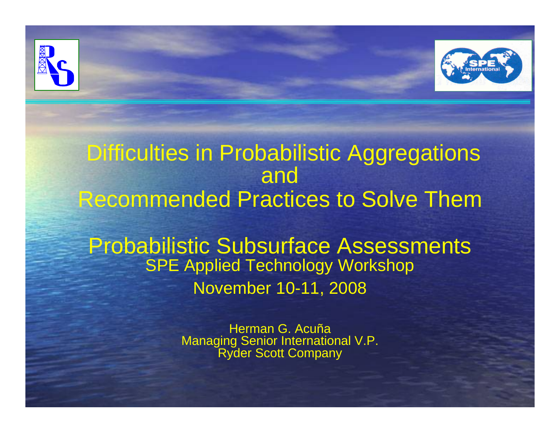



Probabilistic Subsurface Assessments SPE Applied Technology Workshop November 10-11, 2008

> Herman G. Acuña Managing Senior International V.P. Ryder Scott Company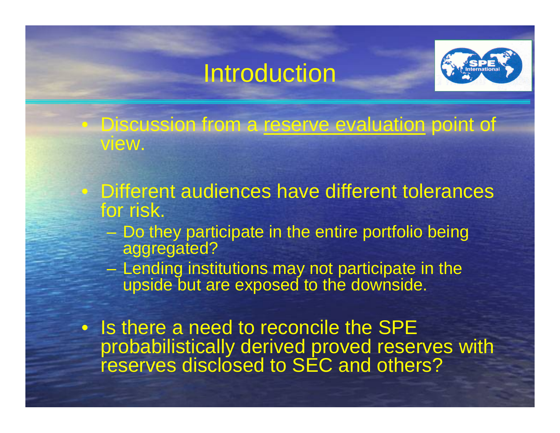### Introduction

 $\bigcirc$ 

 $\bigcirc$ 



Discussion from a reserve evaluation point of view.

- Different audiences have different tolerances for risk.
	- $\mathcal{L}_{\mathcal{A}}$  Do they participate in the entire portfolio being aggregated?
	- – Lending institutions may not participate in the upside but are exposed to the downside.
- Is there a need to reconcile the SPE probabilistically derived proved reserves with reserves disclosed to SEC and others?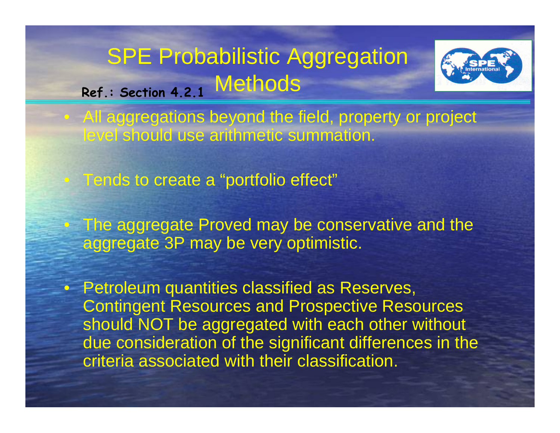



• All aggregations beyond the field, property or project level should use arithmetic summation.

• Tends to create a "portfolio effect"

• The aggregate Proved may be conservative and the aggregate 3P may be very optimistic.

• Petroleum quantities classified as Reserves, Contingent Resources and Prospective Resources should NOT be aggregated with each other without due consideration of the significant differences in the criteria associated with their classification.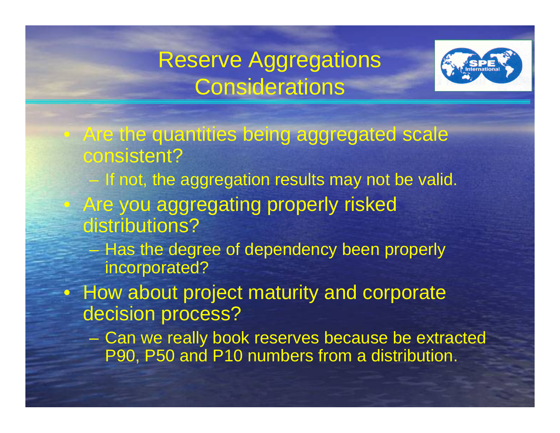### Reserve Aggregations **Considerations**



- Are the quantities being aggregated scale consistent?
- If not, the aggregation results may not be valid. Are you aggregating properly risked distributions?

 $\bigcirc$ 

- – Has the degree of dependency been properly incorporated?
- How about project maturity and corporate decision process?
	- Can we really book reserves because be extracted P90, P50 and P10 numbers from a distribution.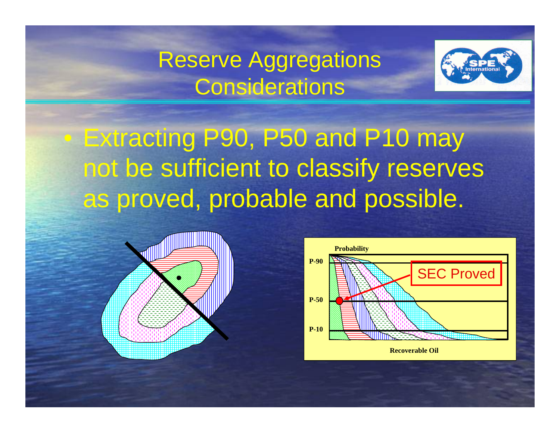### Reserve Aggregations **Considerations**



 Extracting P90, P50 and P10 may not be sufficient to classify reserves as proved, probable and possible.



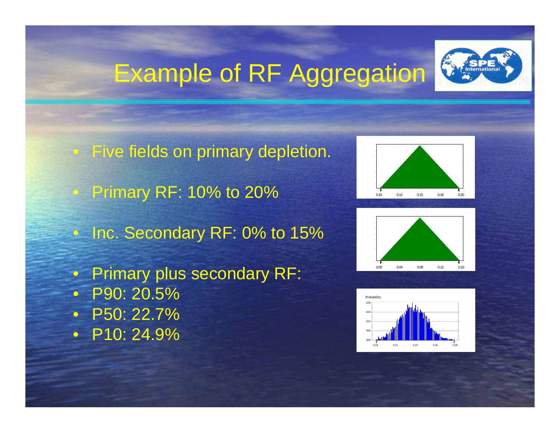# Example of RF Aggregation



• Five fields on primary depletion. • Primary RF: 10% to 20%  $\bullet$ Inc. Secondary RF: 0% to 15%  $\bullet$  Primary plus secondary RF:  $\bullet$  P90: 20.5% $\mathbf C$  P50: 22.7% • P10: 24.9%





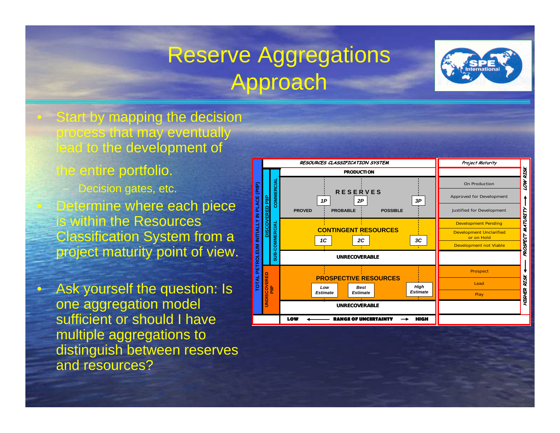## Reserve Aggregations Approach



• Start by mapping the decision process that may eventually lead to the development of

the entire portfolio.

 Decision gates, etc. **Determine where each piece** within the Resources Classification System from a project maturity point of view.

• Ask yourself the question: Is one aggregation model sufficient or should I have multiple aggregations to distinguish between reserves and resources?

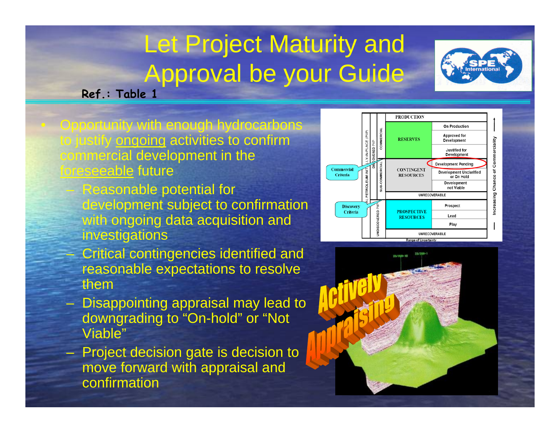## Let Project Maturity and Approval be your Guide



**Ref.: Table 1**

• Opportunity with enough hydrocarbons to justify ongoing activities to confirm commercial development in the foreseeable future

- Reasonable potential for development subject to confirmation with ongoing data acquisition and investigations
- Critical contingencies identified and reasonable expectations to resolve them
- Disappointing appraisal may lead to downgrading to "On-hold" or "Not Viable"
- Project decision gate is decision to move forward with appraisal and confirmation